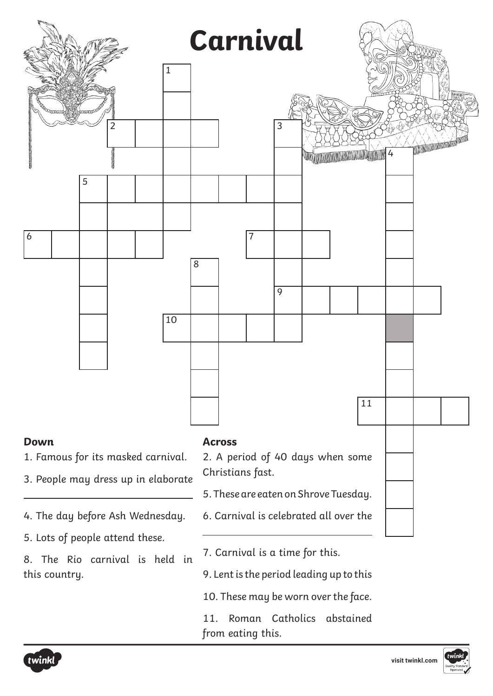

- 5. Lots of people attend these.
- 8. The Rio carnival is held in this country.
- 7. Carnival is a time for this.
- 9. Lent is the period leading up to this
- 10. These may be worn over the face.
- 11. Roman Catholics abstained from eating this.